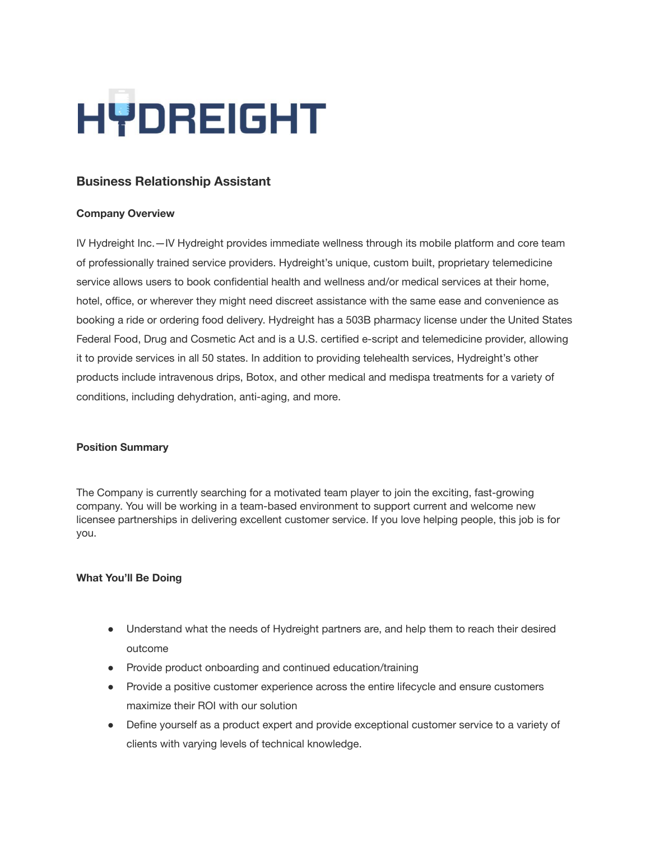# HYDREIGHT

## **Business Relationship Assistant**

#### **Company Overview**

IV Hydreight Inc.—IV [Hydreight](https://hydreight.com/) provides immediate wellness through its mobile platform and core team of professionally trained service providers. Hydreight's unique, custom built, proprietary telemedicine service allows users to book confidential health and wellness and/or medical services at their home, hotel, office, or wherever they might need discreet assistance with the same ease and convenience as booking a ride or ordering food delivery. Hydreight has a 503B pharmacy license under the United States Federal Food, Drug and Cosmetic Act and is a U.S. certified e‐script and telemedicine provider, allowing it to provide services in all 50 states. In addition to providing telehealth services, Hydreight's other products include intravenous drips, Botox, and other medical and medispa treatments for a variety of conditions, including dehydration, anti‐aging, and more.

#### **Position Summary**

The Company is currently searching for a motivated team player to join the exciting, fast-growing company. You will be working in a team-based environment to support current and welcome new licensee partnerships in delivering excellent customer service. If you love helping people, this job is for you.

#### **What You'll Be Doing**

- Understand what the needs of Hydreight partners are, and help them to reach their desired outcome
- Provide product onboarding and continued education/training
- Provide a positive customer experience across the entire lifecycle and ensure customers maximize their ROI with our solution
- Define yourself as a product expert and provide exceptional customer service to a variety of clients with varying levels of technical knowledge.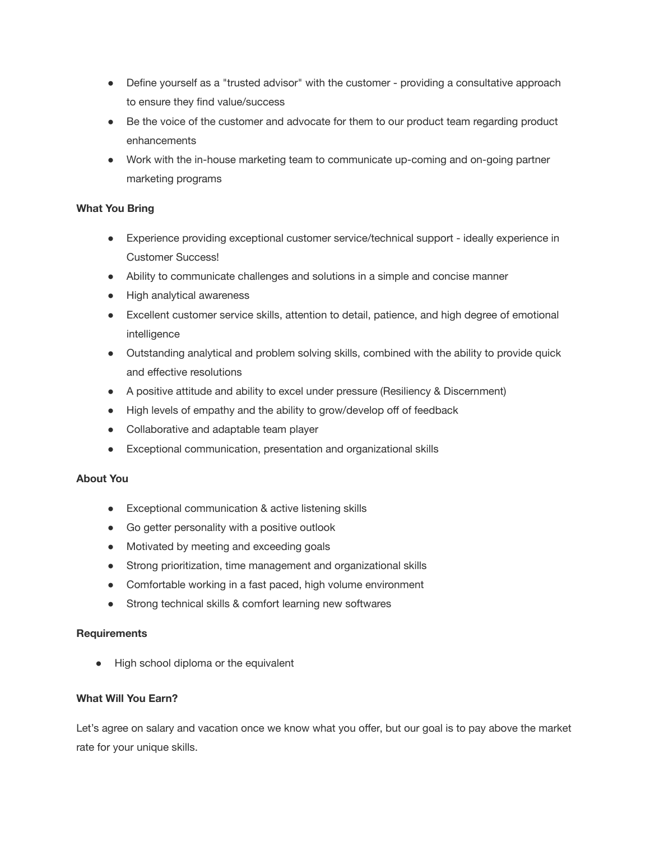- Define yourself as a "trusted advisor" with the customer providing a consultative approach to ensure they find value/success
- Be the voice of the customer and advocate for them to our product team regarding product enhancements
- Work with the in-house marketing team to communicate up-coming and on-going partner marketing programs

#### **What You Bring**

- Experience providing exceptional customer service/technical support ideally experience in Customer Success!
- Ability to communicate challenges and solutions in a simple and concise manner
- High analytical awareness
- Excellent customer service skills, attention to detail, patience, and high degree of emotional intelligence
- Outstanding analytical and problem solving skills, combined with the ability to provide quick and effective resolutions
- A positive attitude and ability to excel under pressure (Resiliency & Discernment)
- High levels of empathy and the ability to grow/develop off of feedback
- Collaborative and adaptable team player
- Exceptional communication, presentation and organizational skills

### **About You**

- Exceptional communication & active listening skills
- Go getter personality with a positive outlook
- Motivated by meeting and exceeding goals
- Strong prioritization, time management and organizational skills
- Comfortable working in a fast paced, high volume environment
- Strong technical skills & comfort learning new softwares

#### **Requirements**

● High school diploma or the equivalent

#### **What Will You Earn?**

Let's agree on salary and vacation once we know what you offer, but our goal is to pay above the market rate for your unique skills.